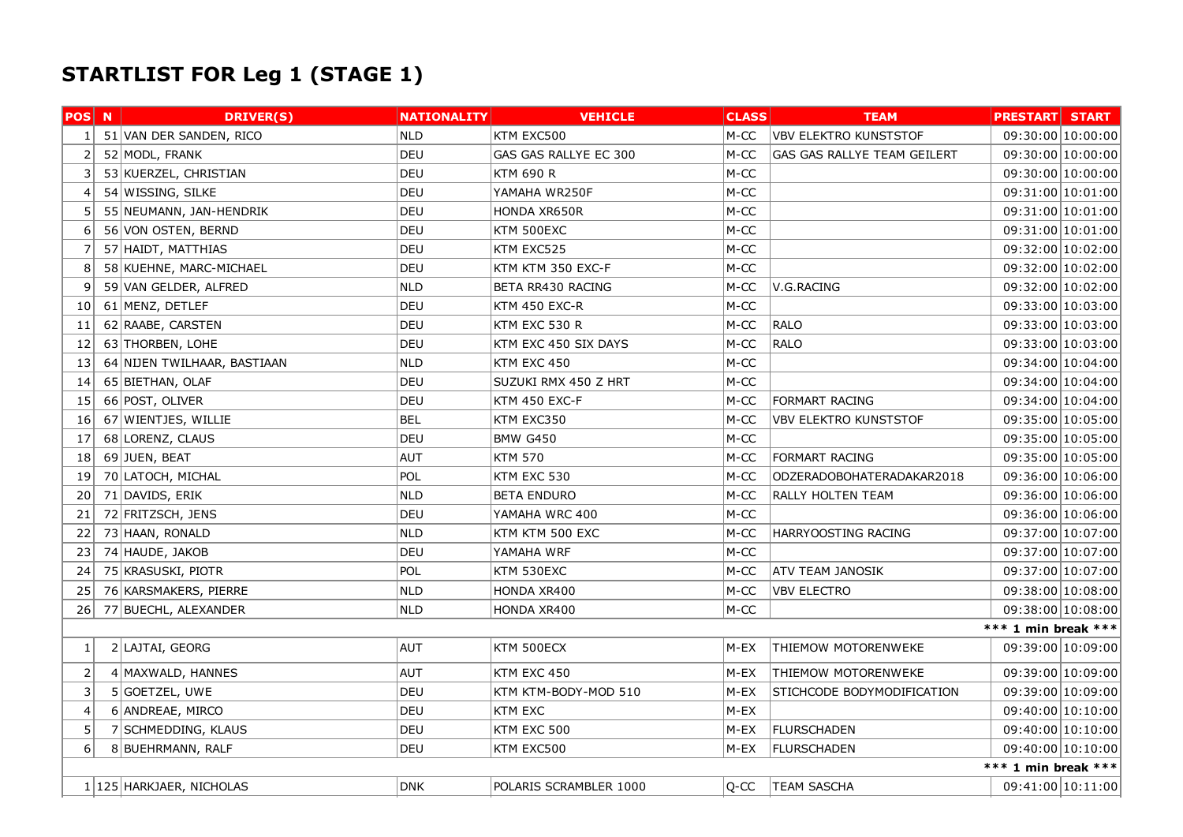## STARTLIST FOR Leg 1 (STAGE 1)

| <b>POS</b> N   | <b>DRIVER(S)</b>             | <b>NATIONALITY</b> | <b>VEHICLE</b>         | <b>CLASS</b> | <b>TEAM</b>                  | <b>PRESTART START</b> |  |
|----------------|------------------------------|--------------------|------------------------|--------------|------------------------------|-----------------------|--|
| 1 <sup>1</sup> | 51 VAN DER SANDEN, RICO      | <b>NLD</b>         | KTM EXC500             | M-CC         | <b>VBV ELEKTRO KUNSTSTOF</b> | 09:30:00 10:00:00     |  |
| 2              | 52 MODL, FRANK               | DEU                | GAS GAS RALLYE EC 300  | M-CC         | GAS GAS RALLYE TEAM GEILERT  | 09:30:00 10:00:00     |  |
| 3              | 53 KUERZEL, CHRISTIAN        | DEU                | KTM 690 R              | M-CC         |                              | 09:30:00 10:00:00     |  |
| $\overline{4}$ | 54 WISSING, SILKE            | DEU                | YAMAHA WR250F          | M-CC         |                              | 09:31:00 10:01:00     |  |
| -5             | 55 NEUMANN, JAN-HENDRIK      | DEU                | HONDA XR650R           | $M-CC$       |                              | 09:31:00 10:01:00     |  |
| 6              | 56 VON OSTEN, BERND          | <b>DEU</b>         | KTM 500EXC             | $M-CC$       |                              | 09:31:00 10:01:00     |  |
| -7             | 57 HAIDT, MATTHIAS           | <b>DEU</b>         | KTM EXC525             | M-CC         |                              | 09:32:00 10:02:00     |  |
| 8              | 58 KUEHNE, MARC-MICHAEL      | <b>DEU</b>         | KTM KTM 350 EXC-F      | M-CC         |                              | 09:32:00 10:02:00     |  |
| 9              | 59 VAN GELDER, ALFRED        | <b>NLD</b>         | BETA RR430 RACING      | $M-CC$       | V.G.RACING                   | 09:32:00 10:02:00     |  |
| 10             | 61 MENZ, DETLEF              | DEU                | KTM 450 EXC-R          | $M-CC$       |                              | 09:33:00 10:03:00     |  |
| 11             | 62 RAABE, CARSTEN            | DEU                | KTM EXC 530 R          | $M-CC$       | <b>RALO</b>                  | 09:33:00 10:03:00     |  |
| 12             | 63 THORBEN, LOHE             | <b>DEU</b>         | KTM EXC 450 SIX DAYS   | $M-CC$       | <b>RALO</b>                  | 09:33:00 10:03:00     |  |
| 13             | 64 NIJEN TWILHAAR, BASTIAAN  | <b>NLD</b>         | KTM EXC 450            | M-CC         |                              | 09:34:00 10:04:00     |  |
| 14             | 65 BIETHAN, OLAF             | <b>DEU</b>         | SUZUKI RMX 450 Z HRT   | $M-CC$       |                              | 09:34:00 10:04:00     |  |
| 15             | 66 POST, OLIVER              | DEU                | KTM 450 EXC-F          | M-CC         | <b>FORMART RACING</b>        | 09:34:00 10:04:00     |  |
| 16             | 67 WIENTJES, WILLIE          | <b>BEL</b>         | KTM EXC350             | M-CC         | <b>VBV ELEKTRO KUNSTSTOF</b> | 09:35:00 10:05:00     |  |
| 17             | 68 LORENZ, CLAUS             | <b>DEU</b>         | <b>BMW G450</b>        | M-CC         |                              | 09:35:00 10:05:00     |  |
| 18             | 69 JUEN, BEAT                | <b>AUT</b>         | <b>KTM 570</b>         | $M-CC$       | <b>FORMART RACING</b>        | 09:35:00 10:05:00     |  |
| 19             | 70 LATOCH, MICHAL            | POL                | KTM EXC 530            | $M-CC$       | ODZERADOBOHATERADAKAR2018    | 09:36:00 10:06:00     |  |
| 20             | 71 DAVIDS, ERIK              | <b>NLD</b>         | <b>BETA ENDURO</b>     | $M-CC$       | RALLY HOLTEN TEAM            | 09:36:00 10:06:00     |  |
| 21             | 72 FRITZSCH, JENS            | <b>DEU</b>         | YAMAHA WRC 400         | M-CC         |                              | 09:36:00 10:06:00     |  |
| 22             | 73 HAAN, RONALD              | <b>NLD</b>         | KTM KTM 500 EXC        | M-CC         | HARRYOOSTING RACING          | 09:37:00 10:07:00     |  |
| 23             | 74 HAUDE, JAKOB              | DEU                | YAMAHA WRF             | M-CC         |                              | 09:37:00 10:07:00     |  |
| 24             | 75 KRASUSKI, PIOTR           | <b>POL</b>         | KTM 530EXC             | M-CC         | <b>ATV TEAM JANOSIK</b>      | 09:37:00 10:07:00     |  |
| 25             | 76 KARSMAKERS, PIERRE        | <b>NLD</b>         | HONDA XR400            | M-CC         | <b>VBV ELECTRO</b>           | 09:38:00 10:08:00     |  |
| 26             | 77 BUECHL, ALEXANDER         | <b>NLD</b>         | HONDA XR400            | M-CC         |                              | 09:38:00 10:08:00     |  |
|                |                              |                    |                        |              |                              | *** 1 min break ***   |  |
| $\mathbf 1$    | 2 LAJTAI, GEORG              | AUT                | KTM 500ECX             | M-EX         | <b>THIEMOW MOTORENWEKE</b>   | 09:39:00 10:09:00     |  |
| 2              | 4 MAXWALD, HANNES            | <b>AUT</b>         | KTM EXC 450            | M-EX         | THIEMOW MOTORENWEKE          | 09:39:00 10:09:00     |  |
| 3              | 5 GOETZEL, UWE               | DEU                | KTM KTM-BODY-MOD 510   | M-EX         | STICHCODE BODYMODIFICATION   | 09:39:00 10:09:00     |  |
| $\overline{4}$ | 6 ANDREAE, MIRCO             | <b>DEU</b>         | <b>KTM EXC</b>         | M-EX         |                              | 09:40:00 10:10:00     |  |
| 5              | 7 SCHMEDDING, KLAUS          | <b>DEU</b>         | KTM EXC 500            | M-EX         | <b>FLURSCHADEN</b>           | 09:40:00 10:10:00     |  |
| 6              | 8 BUEHRMANN, RALF            | DEU                | KTM EXC500             | M-EX         | <b>FLURSCHADEN</b>           | 09:40:00 10:10:00     |  |
|                |                              |                    |                        |              |                              | *** 1 min break ***   |  |
|                | 1   125   HARKJAER, NICHOLAS | <b>DNK</b>         | POLARIS SCRAMBLER 1000 | Q-CC         | <b>TEAM SASCHA</b>           | 09:41:00 10:11:00     |  |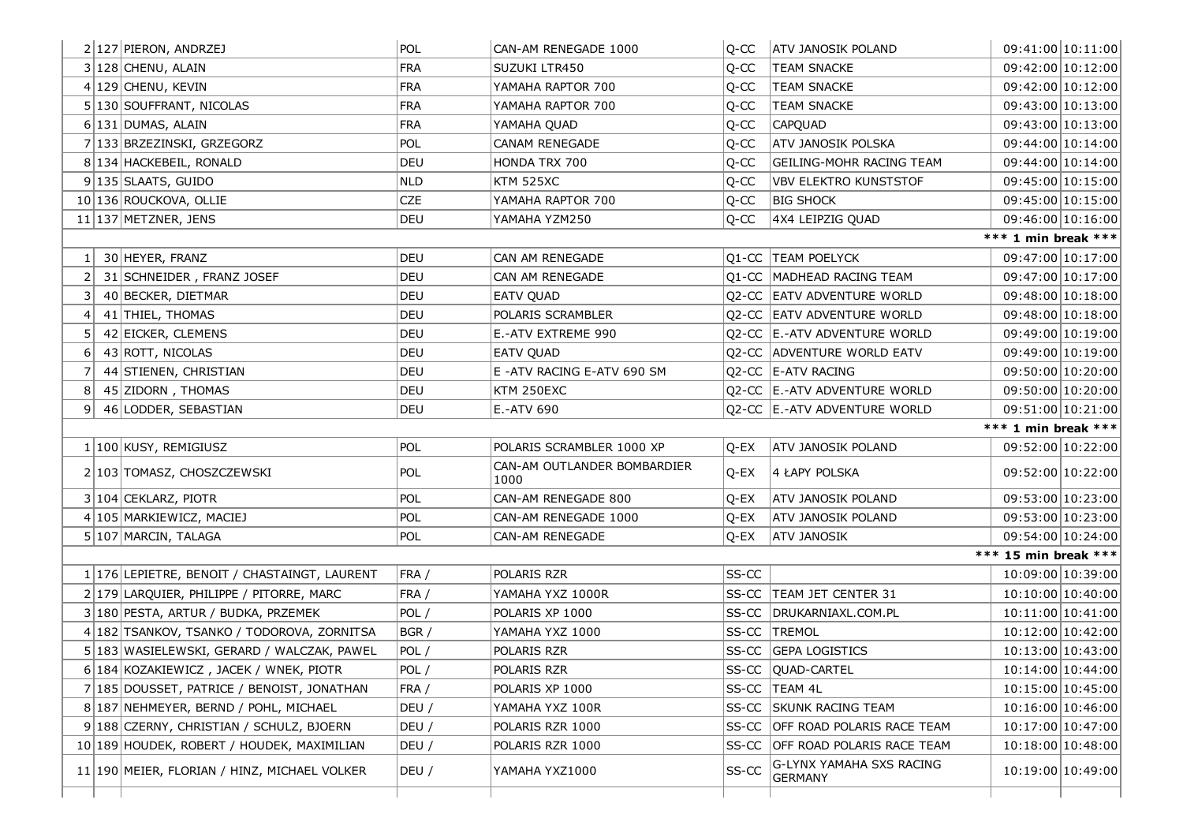| 2 127 PIERON, ANDRZEJ                        | POL        | CAN-AM RENEGADE 1000                | Q-CC  | <b>ATV JANOSIK POLAND</b>        | 09:41:00 10:11:00    |
|----------------------------------------------|------------|-------------------------------------|-------|----------------------------------|----------------------|
| 3 128 CHENU, ALAIN                           | <b>FRA</b> | SUZUKI LTR450                       | Q-CC  | <b>TEAM SNACKE</b>               | 09:42:00 10:12:00    |
| 4 129 CHENU, KEVIN                           | <b>FRA</b> | YAMAHA RAPTOR 700                   | Q-CC  | <b>TEAM SNACKE</b>               | 09:42:00 10:12:00    |
| 5 130 SOUFFRANT, NICOLAS                     | <b>FRA</b> | YAMAHA RAPTOR 700                   | Q-CC  | <b>TEAM SNACKE</b>               | 09:43:00 10:13:00    |
| 6 131 DUMAS, ALAIN                           | <b>FRA</b> | YAMAHA QUAD                         | Q-CC  | <b>CAPQUAD</b>                   | 09:43:00 10:13:00    |
| 7 133 BRZEZINSKI, GRZEGORZ                   | POL        | CANAM RENEGADE                      | Q-CC  | <b>ATV JANOSIK POLSKA</b>        | 09:44:00 10:14:00    |
| 8 134 HACKEBEIL, RONALD                      | DEU        | HONDA TRX 700                       | Q-CC  | GEILING-MOHR RACING TEAM         | 09:44:00 10:14:00    |
| 9 135 SLAATS, GUIDO                          | <b>NLD</b> | <b>KTM 525XC</b>                    | Q-CC  | <b>VBV ELEKTRO KUNSTSTOF</b>     | 09:45:00 10:15:00    |
| 10 136 ROUCKOVA, OLLIE                       | <b>CZE</b> | YAMAHA RAPTOR 700                   | Q-CC  | <b>BIG SHOCK</b>                 | 09:45:00 10:15:00    |
| 11 137 METZNER, JENS                         | DEU        | YAMAHA YZM250                       | Q-CC  | 4X4 LEIPZIG QUAD                 | 09:46:00 10:16:00    |
|                                              |            |                                     |       |                                  | *** 1 min break ***  |
| 1 30 HEYER, FRANZ                            | DEU        | CAN AM RENEGADE                     |       | Q1-CC TEAM POELYCK               | 09:47:00 10:17:00    |
| 31 SCHNEIDER, FRANZ JOSEF<br>2               | DEU        | CAN AM RENEGADE                     |       | Q1-CC MADHEAD RACING TEAM        | 09:47:00 10:17:00    |
| 3 40 BECKER, DIETMAR                         | DEU        | EATV QUAD                           |       | Q2-CC EATV ADVENTURE WORLD       | 09:48:00 10:18:00    |
| 4 41 THIEL, THOMAS                           | DEU        | POLARIS SCRAMBLER                   |       | Q2-CC EATV ADVENTURE WORLD       | 09:48:00 10:18:00    |
| 5 42 EICKER, CLEMENS                         | DEU        | E.-ATV EXTREME 990                  |       | Q2-CC E.-ATV ADVENTURE WORLD     | 09:49:00 10:19:00    |
| 6 43 ROTT, NICOLAS                           | DEU        | <b>EATV QUAD</b>                    |       | Q2-CC ADVENTURE WORLD EATV       | 09:49:00 10:19:00    |
| 7 44 STIENEN, CHRISTIAN                      | DEU        | E -ATV RACING E-ATV 690 SM          |       | Q2-CC E-ATV RACING               | 09:50:00 10:20:00    |
| 45 ZIDORN, THOMAS<br>81                      | DEU        | KTM 250EXC                          |       | Q2-CC E.-ATV ADVENTURE WORLD     | 09:50:00 10:20:00    |
|                                              |            |                                     |       |                                  |                      |
| 9 46 LODDER, SEBASTIAN                       | DEU        | E.-ATV 690                          |       | Q2-CC E.-ATV ADVENTURE WORLD     | 09:51:00 10:21:00    |
|                                              |            |                                     |       |                                  | *** 1 min break ***  |
| 1   100   KUSY, REMIGIUSZ                    | POL        | POLARIS SCRAMBLER 1000 XP           | Q-EX  | <b>ATV JANOSIK POLAND</b>        | 09:52:00 10:22:00    |
| 2 103 TOMASZ, CHOSZCZEWSKI                   | <b>POL</b> | CAN-AM OUTLANDER BOMBARDIER<br>1000 | Q-EX  | 4 LAPY POLSKA                    | 09:52:00 10:22:00    |
| 3 104 CEKLARZ, PIOTR                         | <b>POL</b> | CAN-AM RENEGADE 800                 | Q-EX  | <b>ATV JANOSIK POLAND</b>        | 09:53:00 10:23:00    |
| 4 105 MARKIEWICZ, MACIEJ                     | POL        | CAN-AM RENEGADE 1000                | Q-EX  | <b>ATV JANOSIK POLAND</b>        | 09:53:00 10:23:00    |
| 5 107 MARCIN, TALAGA                         | <b>POL</b> | CAN-AM RENEGADE                     | Q-EX  | <b>ATV JANOSIK</b>               | 09:54:00 10:24:00    |
|                                              |            |                                     |       |                                  | *** 15 min break *** |
| 1 176 LEPIETRE, BENOIT / CHASTAINGT, LAURENT | FRA /      | POLARIS RZR                         | SS-CC |                                  | 10:09:00 10:39:00    |
| 2 179 LARQUIER, PHILIPPE / PITORRE, MARC     | FRA /      | YAMAHA YXZ 1000R                    |       | SS-CC   TEAM JET CENTER 31       | 10:10:00 10:40:00    |
| 3 180 PESTA, ARTUR / BUDKA, PRZEMEK          | POL /      | POLARIS XP 1000                     | SS-CC | DRUKARNIAXL.COM.PL               | 10:11:00 10:41:00    |
| 4 182 TSANKOV, TSANKO / TODOROVA, ZORNITSA   | BGR /      | YAMAHA YXZ 1000                     |       | SS-CC TREMOL                     | 10:12:00 10:42:00    |
| 5 183 WASIELEWSKI, GERARD / WALCZAK, PAWEL   | POL /      | POLARIS RZR                         |       | SS-CC GEPA LOGISTICS             | 10:13:00 10:43:00    |
| 6 184 KOZAKIEWICZ, JACEK / WNEK, PIOTR       | POL /      | POLARIS RZR                         |       | SS-CC QUAD-CARTEL                | 10:14:00 10:44:00    |
| 7 185 DOUSSET, PATRICE / BENOIST, JONATHAN   | FRA /      | POLARIS XP 1000                     |       | SS-CC   TEAM 4L                  | 10:15:00 10:45:00    |
| 8 187 NEHMEYER, BERND / POHL, MICHAEL        | DEU /      | YAMAHA YXZ 100R                     |       | SS-CC SKUNK RACING TEAM          | 10:16:00 10:46:00    |
| 9 188 CZERNY, CHRISTIAN / SCHULZ, BJOERN     | DEU /      | POLARIS RZR 1000                    | SS-CC | OFF ROAD POLARIS RACE TEAM       | 10:17:00 10:47:00    |
| 10 189 HOUDEK, ROBERT / HOUDEK, MAXIMILIAN   | DEU /      | POLARIS RZR 1000                    |       | SS-CC OFF ROAD POLARIS RACE TEAM | 10:18:00 10:48:00    |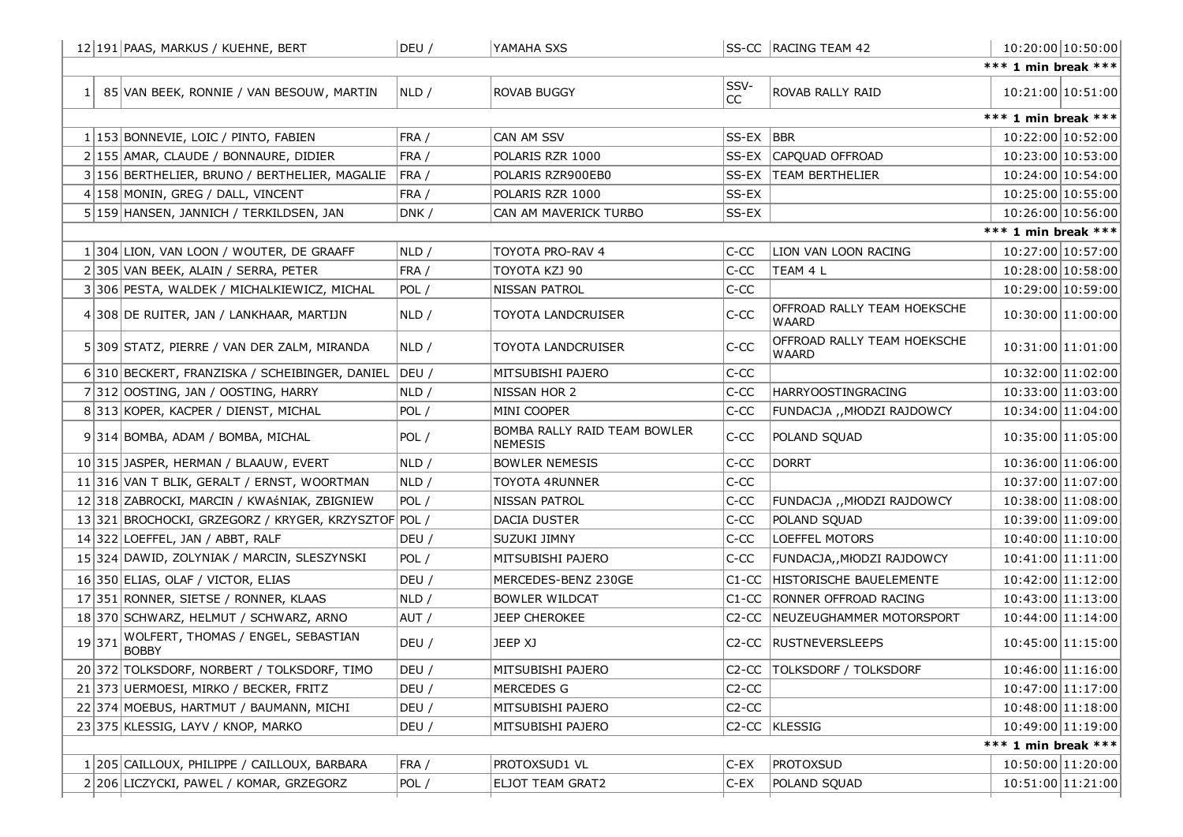|        | 12 191 PAAS, MARKUS / KUEHNE, BERT                   | DEU / | YAMAHA SXS                                     |            | SS-CC RACING TEAM 42                        |                     | 10:20:00 10:50:00 |
|--------|------------------------------------------------------|-------|------------------------------------------------|------------|---------------------------------------------|---------------------|-------------------|
|        |                                                      |       |                                                |            |                                             | *** 1 min break *** |                   |
|        | 1 85 VAN BEEK, RONNIE / VAN BESOUW, MARTIN           | NLD / | <b>ROVAB BUGGY</b>                             | SSV-<br>CC | ROVAB RALLY RAID                            |                     | 10:21:00 10:51:00 |
|        |                                                      |       |                                                |            |                                             | *** 1 min break *** |                   |
|        | 1 153 BONNEVIE, LOIC / PINTO, FABIEN                 | FRA / | CAN AM SSV                                     | SS-EX BBR  |                                             |                     | 10:22:00 10:52:00 |
|        | 2 155 AMAR, CLAUDE / BONNAURE, DIDIER                | FRA / | POLARIS RZR 1000                               |            | SS-EX CAPQUAD OFFROAD                       |                     | 10:23:00 10:53:00 |
|        | 3 156 BERTHELIER, BRUNO / BERTHELIER, MAGALIE        | FRA / | POLARIS RZR900EB0                              | SS-EX      | <b>TEAM BERTHELIER</b>                      |                     | 10:24:00 10:54:00 |
|        | 4 158 MONIN, GREG / DALL, VINCENT                    | FRA / | POLARIS RZR 1000                               | SS-EX      |                                             |                     | 10:25:00 10:55:00 |
|        | 5 159 HANSEN, JANNICH / TERKILDSEN, JAN              | DNK / | CAN AM MAVERICK TURBO                          | SS-EX      |                                             |                     | 10:26:00 10:56:00 |
|        |                                                      |       |                                                |            |                                             | *** 1 min break *** |                   |
|        | 1 304 LION, VAN LOON / WOUTER, DE GRAAFF             | NLD / | TOYOTA PRO-RAV 4                               | C-CC       | LION VAN LOON RACING                        |                     | 10:27:00 10:57:00 |
|        | 2 305 VAN BEEK, ALAIN / SERRA, PETER                 | FRA / | TOYOTA KZJ 90                                  | C-CC       | TEAM 4 L                                    |                     | 10:28:00 10:58:00 |
|        | 3 306 PESTA, WALDEK / MICHALKIEWICZ, MICHAL          | POL / | NISSAN PATROL                                  | C-CC       |                                             |                     | 10:29:00 10:59:00 |
|        | 4 308 DE RUITER, JAN / LANKHAAR, MARTIJN             | NLD / | TOYOTA LANDCRUISER                             | $C-CC$     | OFFROAD RALLY TEAM HOEKSCHE<br>WAARD        |                     | 10:30:00 11:00:00 |
|        | 5 309 STATZ, PIERRE / VAN DER ZALM, MIRANDA          | NLD / | TOYOTA LANDCRUISER                             | C-CC       | OFFROAD RALLY TEAM HOEKSCHE<br><b>WAARD</b> |                     | 10:31:00 11:01:00 |
|        | 6 310 BECKERT, FRANZISKA / SCHEIBINGER, DANIEL       | DEU / | MITSUBISHI PAJERO                              | C-CC       |                                             |                     | 10:32:00 11:02:00 |
|        | 7 312 OOSTING, JAN / OOSTING, HARRY                  | NLD / | NISSAN HOR 2                                   | C-CC       | <b>HARRYOOSTINGRACING</b>                   |                     | 10:33:00 11:03:00 |
|        | 8 313 KOPER, KACPER / DIENST, MICHAL                 | POL / | MINI COOPER                                    | C-CC       | FUNDACJA ,, MłODZI RAJDOWCY                 |                     | 10:34:00 11:04:00 |
|        | 9 314 BOMBA, ADAM / BOMBA, MICHAL                    | POL / | BOMBA RALLY RAID TEAM BOWLER<br><b>NEMESIS</b> | C-CC       | POLAND SQUAD                                |                     | 10:35:00 11:05:00 |
|        | 10 315 JASPER, HERMAN / BLAAUW, EVERT                | NLD / | <b>BOWLER NEMESIS</b>                          | C-CC       | <b>DORRT</b>                                |                     | 10:36:00 11:06:00 |
|        | 11 316 VAN T BLIK, GERALT / ERNST, WOORTMAN          | NLD / | TOYOTA 4RUNNER                                 | $C-CC$     |                                             |                     | 10:37:00 11:07:00 |
|        | 12 318 ZABROCKI, MARCIN / KWAŚNIAK, ZBIGNIEW         | POL / | NISSAN PATROL                                  | C-CC       | FUNDACJA ,, MłODZI RAJDOWCY                 |                     | 10:38:00 11:08:00 |
|        | 13 321 BROCHOCKI, GRZEGORZ / KRYGER, KRZYSZTOF POL / |       | DACIA DUSTER                                   | C-CC       | POLAND SQUAD                                |                     | 10:39:00 11:09:00 |
|        | 14 322 LOEFFEL, JAN / ABBT, RALF                     | DEU / | SUZUKI JIMNY                                   | C-CC       | LOEFFEL MOTORS                              |                     | 10:40:00 11:10:00 |
|        | 15 324 DAWID, ZOLYNIAK / MARCIN, SLESZYNSKI          | POL / | MITSUBISHI PAJERO                              | C-CC       | FUNDACJA,, MłODZI RAJDOWCY                  |                     | 10:41:00 11:11:00 |
|        | 16 350 ELIAS, OLAF / VICTOR, ELIAS                   | DEU / | MERCEDES-BENZ 230GE                            | $C1-CC$    | <b>HISTORISCHE BAUELEMENTE</b>              |                     | 10:42:00 11:12:00 |
|        | 17 351 RONNER, SIETSE / RONNER, KLAAS                | NLD / | <b>BOWLER WILDCAT</b>                          | $C1-CC$    | <b>RONNER OFFROAD RACING</b>                |                     | 10:43:00 11:13:00 |
|        | 18 370 SCHWARZ, HELMUT / SCHWARZ, ARNO               | AUT / | <b>JEEP CHEROKEE</b>                           |            | C2-CC NEUZEUGHAMMER MOTORSPORT              |                     | 10:44:00 11:14:00 |
| 19 371 | WOLFERT, THOMAS / ENGEL, SEBASTIAN<br><b>BOBBY</b>   | DEU / | JEEP XJ                                        |            | C2-CC RUSTNEVERSLEEPS                       |                     | 10:45:00 11:15:00 |
|        | 20 372 TOLKSDORF, NORBERT / TOLKSDORF, TIMO          | DEU / | MITSUBISHI PAJERO                              |            | C2-CC TOLKSDORF / TOLKSDORF                 | 10:46:00 11:16:00   |                   |
|        | 21 373 UERMOESI, MIRKO / BECKER, FRITZ               | DEU / | MERCEDES G                                     | $C2-CC$    |                                             |                     | 10:47:00 11:17:00 |
|        | 22 374 MOEBUS, HARTMUT / BAUMANN, MICHI              | DEU / | MITSUBISHI PAJERO                              | $C2-CC$    |                                             |                     | 10:48:00 11:18:00 |
|        | 23 375 KLESSIG, LAYV / KNOP, MARKO                   | DEU / | MITSUBISHI PAJERO                              |            | C <sub>2</sub> -CC KLESSIG                  |                     | 10:49:00 11:19:00 |
|        |                                                      |       |                                                |            |                                             | *** 1 min break *** |                   |
|        | 1 205 CAILLOUX, PHILIPPE / CAILLOUX, BARBARA         | FRA / | PROTOXSUD1 VL                                  | C-EX       | <b>PROTOXSUD</b>                            |                     | 10:50:00 11:20:00 |
|        | 2 206 LICZYCKI, PAWEL / KOMAR, GRZEGORZ              | POL / | ELJOT TEAM GRAT2                               | $C$ -EX    | POLAND SQUAD                                |                     | 10:51:00 11:21:00 |
|        |                                                      |       |                                                |            |                                             |                     |                   |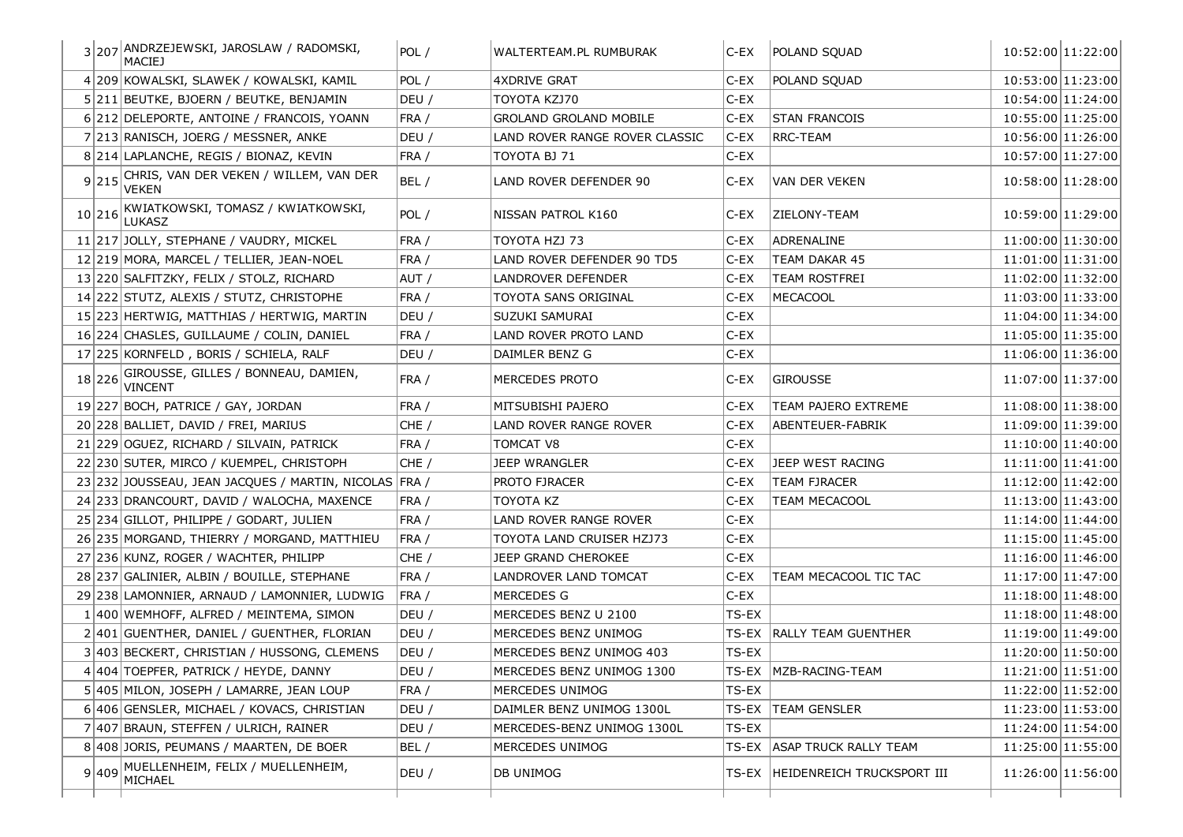|        | 3 207 ANDRZEJEWSKI, JAROSLAW / RADOMSKI,<br><b>MACIEJ</b>    | POL / | WALTERTEAM.PL RUMBURAK         | C-EX    | POLAND SQUAD                     |                   | 10:52:00 11:22:00 |
|--------|--------------------------------------------------------------|-------|--------------------------------|---------|----------------------------------|-------------------|-------------------|
|        | 4 209 KOWALSKI, SLAWEK / KOWALSKI, KAMIL                     | POL / | 4XDRIVE GRAT                   | $C$ -EX | POLAND SQUAD                     |                   | 10:53:00 11:23:00 |
|        | 5 211 BEUTKE, BJOERN / BEUTKE, BENJAMIN                      | DEU / | TOYOTA KZJ70                   | $C-EX$  |                                  |                   | 10:54:00 11:24:00 |
|        | 6 212 DELEPORTE, ANTOINE / FRANCOIS, YOANN                   | FRA / | <b>GROLAND GROLAND MOBILE</b>  | C-EX    | <b>STAN FRANCOIS</b>             |                   | 10:55:00 11:25:00 |
|        | 7 213 RANISCH, JOERG / MESSNER, ANKE                         | DEU / | LAND ROVER RANGE ROVER CLASSIC | $C$ -EX | <b>RRC-TEAM</b>                  |                   | 10:56:00 11:26:00 |
|        | 8 214 LAPLANCHE, REGIS / BIONAZ, KEVIN                       | FRA / | TOYOTA BJ 71                   | C-EX    |                                  |                   | 10:57:00 11:27:00 |
| 9 215  | CHRIS, VAN DER VEKEN / WILLEM, VAN DER<br>VEKEN              | BEL/  | LAND ROVER DEFENDER 90         | C-EX    | VAN DER VEKEN                    |                   | 10:58:00 11:28:00 |
| 10 216 | KWIATKOWSKI, TOMASZ / KWIATKOWSKI,<br><b>LUKASZ</b>          | POL / | NISSAN PATROL K160             | C-EX    | ZIELONY-TEAM                     |                   | 10:59:00 11:29:00 |
|        | 11 217 JOLLY, STEPHANE / VAUDRY, MICKEL                      | FRA / | TOYOTA HZJ 73                  | C-EX    | ADRENALINE                       |                   | 11:00:00 11:30:00 |
|        | 12 219 MORA, MARCEL / TELLIER, JEAN-NOEL                     | FRA / | LAND ROVER DEFENDER 90 TD5     | C-EX    | TEAM DAKAR 45                    |                   | 11:01:00 11:31:00 |
|        | 13 220 SALFITZKY, FELIX / STOLZ, RICHARD                     | AUT / | LANDROVER DEFENDER             | C-EX    | TEAM ROSTFREI                    |                   | 11:02:00 11:32:00 |
|        | 14 222 STUTZ, ALEXIS / STUTZ, CHRISTOPHE                     | FRA / | TOYOTA SANS ORIGINAL           | $C$ -EX | <b>MECACOOL</b>                  |                   | 11:03:00 11:33:00 |
|        | 15 223 HERTWIG, MATTHIAS / HERTWIG, MARTIN                   | DEU / | SUZUKI SAMURAI                 | $C$ -EX |                                  |                   | 11:04:00 11:34:00 |
|        | 16 224 CHASLES, GUILLAUME / COLIN, DANIEL                    | FRA / | LAND ROVER PROTO LAND          | $C$ -EX |                                  |                   | 11:05:00 11:35:00 |
|        | 17 225 KORNFELD, BORIS / SCHIELA, RALF                       | DEU / | DAIMLER BENZ G                 | C-EX    |                                  |                   | 11:06:00 11:36:00 |
|        | 18 226 GIROUSSE, GILLES / BONNEAU, DAMIEN,<br><b>VINCENT</b> | FRA / | MERCEDES PROTO                 | C-EX    | <b>GIROUSSE</b>                  |                   | 11:07:00 11:37:00 |
|        | 19 227 BOCH, PATRICE / GAY, JORDAN                           | FRA / | MITSUBISHI PAJERO              | C-EX    | TEAM PAJERO EXTREME              |                   | 11:08:00 11:38:00 |
|        | 20 228 BALLIET, DAVID / FREI, MARIUS                         | CHE/  | LAND ROVER RANGE ROVER         | $C$ -EX | ABENTEUER-FABRIK                 |                   | 11:09:00 11:39:00 |
|        | 21 229 OGUEZ, RICHARD / SILVAIN, PATRICK                     | FRA / | TOMCAT V8                      | C-EX    |                                  |                   | 11:10:00 11:40:00 |
|        | 22 230 SUTER, MIRCO / KUEMPEL, CHRISTOPH                     | CHE/  | <b>JEEP WRANGLER</b>           | C-EX    | JEEP WEST RACING                 |                   | 11:11:00 11:41:00 |
|        | 23 232 JOUSSEAU, JEAN JACQUES / MARTIN, NICOLAS FRA /        |       | PROTO FJRACER                  | C-EX    | <b>TEAM FJRACER</b>              |                   | 11:12:00 11:42:00 |
|        | 24 233 DRANCOURT, DAVID / WALOCHA, MAXENCE                   | FRA / | TOYOTA KZ                      | $C$ -EX | <b>TEAM MECACOOL</b>             |                   | 11:13:00 11:43:00 |
|        | 25 234 GILLOT, PHILIPPE / GODART, JULIEN                     | FRA / | LAND ROVER RANGE ROVER         | $C$ -EX |                                  |                   | 11:14:00 11:44:00 |
|        | 26 235 MORGAND, THIERRY / MORGAND, MATTHIEU                  | FRA / | TOYOTA LAND CRUISER HZJ73      | C-EX    |                                  |                   | 11:15:00 11:45:00 |
|        | 27 236 KUNZ, ROGER / WACHTER, PHILIPP                        | CHE/  | JEEP GRAND CHEROKEE            | C-EX    |                                  |                   | 11:16:00 11:46:00 |
|        | 28 237 GALINIER, ALBIN / BOUILLE, STEPHANE                   | FRA / | LANDROVER LAND TOMCAT          | $C$ -EX | TEAM MECACOOL TIC TAC            |                   | 11:17:00 11:47:00 |
|        | 29 238 LAMONNIER, ARNAUD / LAMONNIER, LUDWIG                 | FRA / | MERCEDES G                     | $C$ -EX |                                  |                   | 11:18:00 11:48:00 |
|        | 1 400 WEMHOFF, ALFRED / MEINTEMA, SIMON                      | DEU / | MERCEDES BENZ U 2100           | TS-EX   |                                  |                   | 11:18:00 11:48:00 |
|        | 2 401 GUENTHER, DANIEL / GUENTHER, FLORIAN                   | DEU / | MERCEDES BENZ UNIMOG           |         | TS-EX   RALLY TEAM GUENTHER      |                   | 11:19:00 11:49:00 |
|        | 3 403 BECKERT, CHRISTIAN / HUSSONG, CLEMENS                  | DEU / | MERCEDES BENZ UNIMOG 403       | TS-EX   |                                  |                   | 11:20:00 11:50:00 |
|        | 4 404 TOEPFER, PATRICK / HEYDE, DANNY                        | DEU / | MERCEDES BENZ UNIMOG 1300      |         | TS-EX   MZB-RACING-TEAM          | 11:21:00 11:51:00 |                   |
|        | 5 405 MILON, JOSEPH / LAMARRE, JEAN LOUP                     | FRA / | MERCEDES UNIMOG                | TS-EX   |                                  |                   | 11:22:00 11:52:00 |
|        | 6 406 GENSLER, MICHAEL / KOVACS, CHRISTIAN                   | DEU / | DAIMLER BENZ UNIMOG 1300L      |         | TS-EX TEAM GENSLER               |                   | 11:23:00 11:53:00 |
|        | 7 407 BRAUN, STEFFEN / ULRICH, RAINER                        | DEU / | MERCEDES-BENZ UNIMOG 1300L     | TS-EX   |                                  |                   | 11:24:00 11:54:00 |
|        | 8 408 JORIS, PEUMANS / MAARTEN, DE BOER                      | BEL / | MERCEDES UNIMOG                |         | TS-EX ASAP TRUCK RALLY TEAM      |                   | 11:25:00 11:55:00 |
| 9 409  | MUELLENHEIM, FELIX / MUELLENHEIM,<br>MICHAEL                 | DEU / | DB UNIMOG                      |         | TS-EX HEIDENREICH TRUCKSPORT III |                   | 11:26:00 11:56:00 |
|        |                                                              |       |                                |         |                                  |                   |                   |